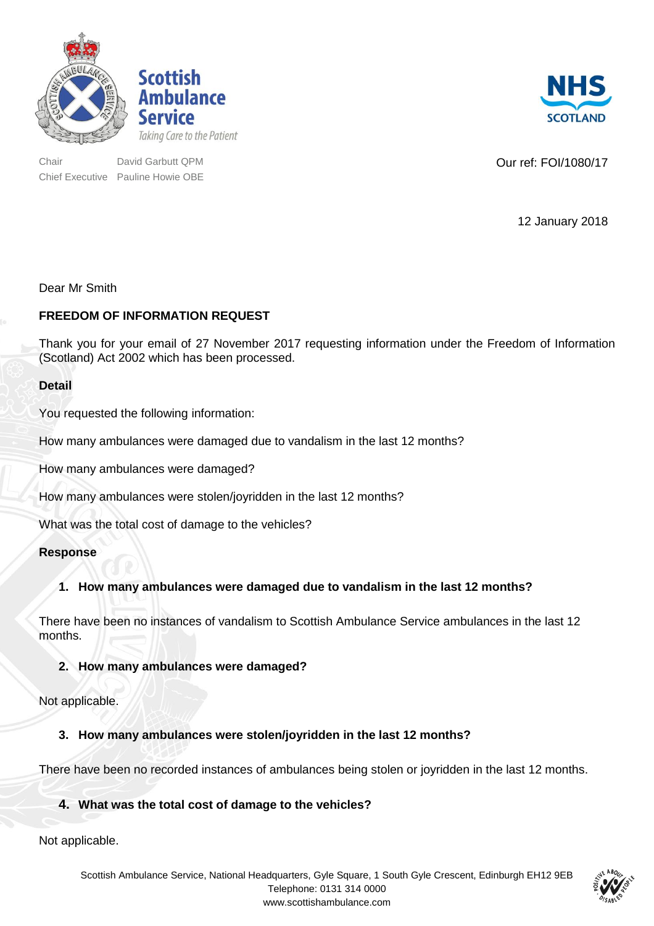



Chair Chair David Garbutt QPM Chair David Garbutt QPM Chair During Courref: FOI/1080/17 Chief Executive Pauline Howie OBE

**SCOTLAND** 

12 January 2018

## Dear Mr Smith

## **FREEDOM OF INFORMATION REQUEST**

Thank you for your email of 27 November 2017 requesting information under the Freedom of Information (Scotland) Act 2002 which has been processed.

### **Detail**

You requested the following information:

How many ambulances were damaged due to vandalism in the last 12 months?

How many ambulances were damaged?

How many ambulances were stolen/joyridden in the last 12 months?

What was the total cost of damage to the vehicles?

### **Response**

# **1. How many ambulances were damaged due to vandalism in the last 12 months?**

There have been no instances of vandalism to Scottish Ambulance Service ambulances in the last 12 months.

### **2. How many ambulances were damaged?**

Not applicable.

### **3. How many ambulances were stolen/joyridden in the last 12 months?**

There have been no recorded instances of ambulances being stolen or joyridden in the last 12 months.

### **4. What was the total cost of damage to the vehicles?**

Not applicable.

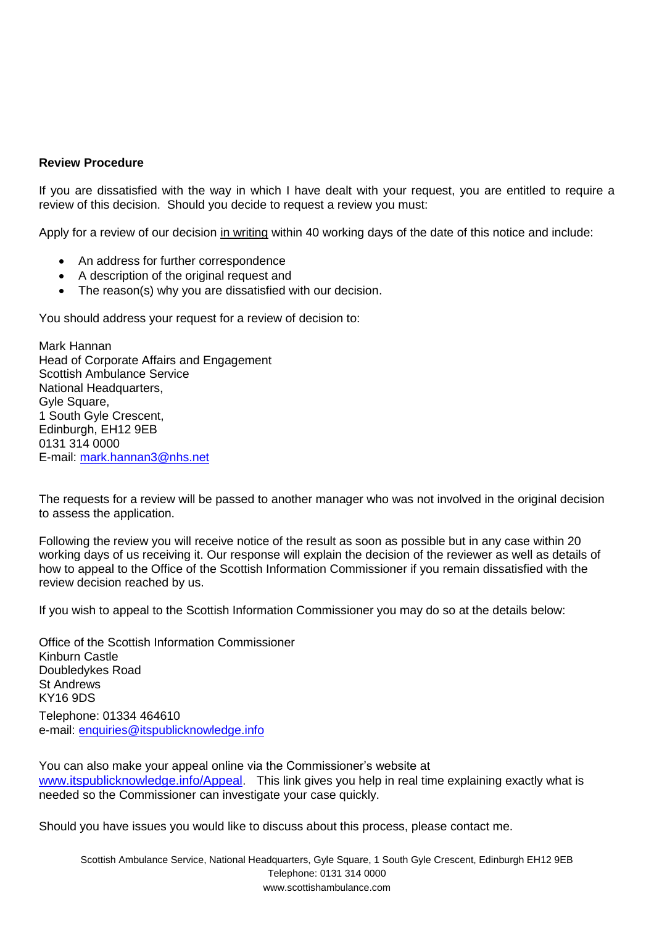#### **Review Procedure**

If you are dissatisfied with the way in which I have dealt with your request, you are entitled to require a review of this decision. Should you decide to request a review you must:

Apply for a review of our decision in writing within 40 working days of the date of this notice and include:

- An address for further correspondence
- A description of the original request and
- The reason(s) why you are dissatisfied with our decision.

You should address your request for a review of decision to:

Mark Hannan Head of Corporate Affairs and Engagement Scottish Ambulance Service National Headquarters, Gyle Square, 1 South Gyle Crescent, Edinburgh, EH12 9EB 0131 314 0000 E-mail: [mark.hannan3@nhs.net](mailto:xxxx.xxxxxxx@xxx.xxx)

The requests for a review will be passed to another manager who was not involved in the original decision to assess the application.

Following the review you will receive notice of the result as soon as possible but in any case within 20 working days of us receiving it. Our response will explain the decision of the reviewer as well as details of how to appeal to the Office of the Scottish Information Commissioner if you remain dissatisfied with the review decision reached by us.

If you wish to appeal to the Scottish Information Commissioner you may do so at the details below:

Office of the Scottish Information Commissioner Kinburn Castle Doubledykes Road St Andrews KY16 9DS Telephone: 01334 464610 e-mail: [enquiries@itspublicknowledge.info](mailto:xxxxxxxxx@xxxxxxxxxxxxxxxxxx.xxxx)

You can also make your appeal online via the Commissioner's website at [www.itspublicknowledge.info/Appeal.](http://sut1.co.uk/sLJ85vvXsn4Tubvajtvcoqek-6Xy8_Ku-66u-fSv-eDn6rHi4OHl4e6EUbLe3reUlZLG16TD1a7M2K2bmpnBmYWBg4GXmp6bkpSUi5GbZGZnLW1rYGgtO0xKfH1rbnw.) This link gives you help in real time explaining exactly what is needed so the Commissioner can investigate your case quickly.

Should you have issues you would like to discuss about this process, please contact me.

Scottish Ambulance Service, National Headquarters, Gyle Square, 1 South Gyle Crescent, Edinburgh EH12 9EB Telephone: 0131 314 0000 www.scottishambulance.com